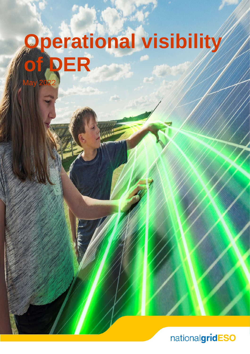# May 2022 **Operational visibility Of DER**

nationalgridESO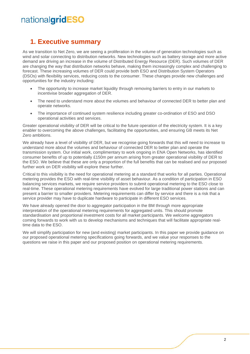### **1. Executive summary**

As we transition to Net Zero, we are seeing a proliferation in the volume of generation technologies such as wind and solar connecting to distribution networks. New technologies such as battery storage and more active demand are driving an increase in the volume of Distributed Energy Resource (DER). Such volumes of DER are changing the way that distribution networks behave, making them increasingly complex and challenging to forecast. These increasing volumes of DER could provide both ESO and Distribution System Operators (DSOs) with flexibility services, reducing costs to the consumer. These changes provide new challenges and opportunities for the industry including:

- The opportunity to increase market liquidity through removing barriers to entry in our markets to incentivise broader aggregation of DER.
- The need to understand more about the volumes and behaviour of connected DER to better plan and operate networks.
- The importance of continued system resilience including greater co-ordination of ESO and DSO operational activities and services.

Greater operational visibility of DER will be critical to the future operation of the electricity system. It is a key enabler to overcoming the above challenges, facilitating the opportunities, and ensuring GB meets its Net Zero ambitions.

We already have a level of visibility of DER, but we recognise going forwards that this will need to increase to understand more about the volumes and behaviour of connected DER to better plan and operate the transmission system. Our initial work, complimentary to work ongoing in ENA Open Networks, has identified consumer benefits of up to potentially £150m per annum arising from greater operational visibility of DER to the ESO. We believe that these are only a proportion of the full benefits that can be realised and our proposed further work on DER visibility will explore these further.

Critical to this visibility is the need for operational metering at a standard that works for all parties. Operational metering provides the ESO with real-time visibility of asset behaviour. As a condition of participation in ESO balancing services markets, we require service providers to submit operational metering to the ESO close to real-time. These operational metering requirements have evolved for large traditional power stations and can present a barrier to smaller providers. Metering requirements can differ by service and there is a risk that a service provider may have to duplicate hardware to participate in different ESO services.

We have already opened the door to aggregator participation in the BM through more appropriate interpretation of the operational metering requirements for aggregated units. This should promote standardisation and proportional investment costs for all market participants. We welcome aggregators coming forwards to work with us to develop mechanisms and techniques that will facilitate appropriate realtime data to the ESO.

We will simplify participation for new (and existing) market participants. In this paper we provide guidance on our proposed operational metering specifications going forwards, and we value your responses to the questions we raise in this paper and our proposed position on operational metering requirements.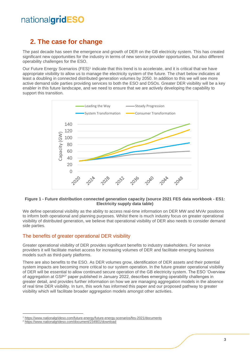### **2. The case for change**

The past decade has seen the emergence and growth of DER on the GB electricity system. This has created significant new opportunities for the industry in terms of new service provider opportunities, but also different operability challenges for the ESO.

Our Future Energy Scenarios (FES)<sup>1</sup> indicate that this trend is to accelerate, and it is critical that we have appropriate visibility to allow us to manage the electricity system of the future. The chart below indicates at least a doubling in connected distributed generation volumes by 2050. In addition to this we will see more active demand side parties providing services to both the ESO and DSOs. Greater DER visibility will be a key enabler in this future landscape, and we need to ensure that we are actively developing the capability to support this transition.



#### **Figure 1 - Future distribution connected generation capacity (source 2021 FES data workbook - ES1: Electricity supply data table)**

We define operational visibility as the ability to access real-time information on DER MW and MVAr positions to inform both operational and planning purposes. Whilst there is much industry focus on greater operational visibility of distributed generation, we believe that operational visibility of DER also needs to consider demand side parties.

#### The benefits of greater operational DER visibility

Greater operational visibility of DER provides significant benefits to industry stakeholders. For service providers it will facilitate market access for increasing volumes of DER and facilitate emerging business models such as third-party platforms.

There are also benefits to the ESO. As DER volumes grow, identification of DER assets and their potential system impacts are becoming more critical to our system operation. In the future greater operational visibility of DER will be essential to allow continued secure operation of the GB electricity system. The ESO 'Overview of aggregation at GSP<sup>2</sup>' paper published in January 2022, describes emerging operability challenges in greater detail, and provides further information on how we are managing aggregation models in the absence of real time DER visibility. In turn, this work has informed this paper and our proposed pathway to greater visibility which will facilitate broader aggregation models amongst other activities.

<sup>1</sup> <https://www.nationalgrideso.com/future-energy/future-energy-scenarios/fes-2021/documents>

<sup>2</sup> <https://www.nationalgrideso.com/document/234901/download>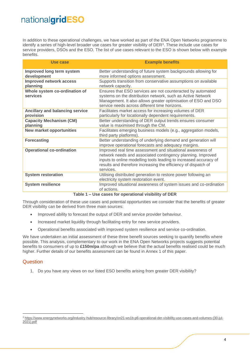In addition to these operational challenges, we have worked as part of the ENA Open Networks programme to identify a series of high-level broader use cases for greater visibility of DER<sup>3</sup>. These include use cases for service providers, DSOs and the ESO. The list of use cases relevant to the ESO is shown below with example **benefits** 

| Use case                                              | <b>Example benefits</b>                                                                                                                                                                                                                                                       |  |  |
|-------------------------------------------------------|-------------------------------------------------------------------------------------------------------------------------------------------------------------------------------------------------------------------------------------------------------------------------------|--|--|
| Improved long term system<br>development              | Better understanding of future system backgrounds allowing for<br>more informed options assessment.                                                                                                                                                                           |  |  |
| <b>Improved network access</b><br>planning            | Supports transition from conservative assumptions on available<br>network capacity.                                                                                                                                                                                           |  |  |
| Whole system co-ordination of<br>services             | Ensures that ESO services are not counteracted by automated<br>systems on the distribution network, such as Active Network<br>Management. It also allows greater optimisation of ESO and DSO<br>service needs across different time horizons.                                 |  |  |
| <b>Ancillary and balancing service</b><br>provision   | Facilitates market access for increasing volumes of DER<br>particularly for locationally dependent requirements.                                                                                                                                                              |  |  |
| <b>Capacity Mechanism (CM)</b><br>planning            | Better understanding of DER output trends ensures consumer<br>value is maximised through the CM.                                                                                                                                                                              |  |  |
| <b>New market opportunities</b>                       | Facilitates emerging business models (e.g., aggregation models,<br>third party platforms).                                                                                                                                                                                    |  |  |
| <b>Forecasting</b>                                    | Better understanding of underlying demand and generation will<br>improve operational forecasts and adequacy margins.                                                                                                                                                          |  |  |
| <b>Operational co-ordination</b>                      | Improved real time assessment and situational awareness of<br>network needs and associated contingency planning. Improved<br>inputs to online modelling tools leading to increased accuracy of<br>results and therefore increasing the efficiency of dispatch of<br>services. |  |  |
| <b>System restoration</b>                             | Utilising distributed generation to restore power following an<br>electricity system restoration event.                                                                                                                                                                       |  |  |
| <b>System resilience</b>                              | Improved situational awareness of system issues and co-ordination<br>of actions.                                                                                                                                                                                              |  |  |
| Table 1 - Use cases for operational visibility of DER |                                                                                                                                                                                                                                                                               |  |  |

Through consideration of these use cases and potential opportunities we consider that the benefits of greater DER visibility can be derived from three main sources:

- Improved ability to forecast the output of DER and service provider behaviour.
- Increased market liquidity through facilitating entry for new service providers.
- Operational benefits associated with improved system resilience and service co-ordination.

We have undertaken an initial assessment of these three benefit sources seeking to quantify benefits where possible. This analysis, complementary to our work in the ENA Open Networks projects suggests potential benefits to consumers of up to **£150m/pa** although we believe that the actual benefits realised could be much higher. Further details of our benefits assessment can be found in Annex 1 of this paper.

#### **Question**

1. Do you have any views on our listed ESO benefits arising from greater DER visibility?

<sup>3</sup> [https://www.energynetworks.org/industry-hub/resource-library/on21-ws1b-p6-operational-der-visibility-use-cases-and-volumes-\(30-jul-](https://www.energynetworks.org/industry-hub/resource-library/on21-ws1b-p6-operational-der-visibility-use-cases-and-volumes-(30-jul-2021).pdf)[2021\).pdf](https://www.energynetworks.org/industry-hub/resource-library/on21-ws1b-p6-operational-der-visibility-use-cases-and-volumes-(30-jul-2021).pdf)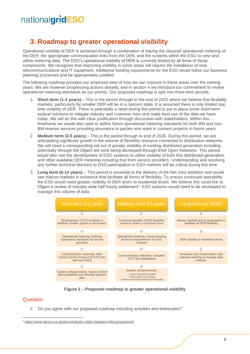### **3. Roadmap to greater operational visibility**

Operational visibility of DER is achieved through a combination of having the required operational metering of the DER, the appropriate communication links from the DER, and the systems within the ESO to view and utilise metering data. The ESO's operational visibility of DER is currently limited by all three of these components. We recognise that improving visibility in some areas will require the installation of new telecommunications and IT equipment. Additional funding requirements for the ESO would follow our business planning processes and be appropriately justified.

The following roadmap provides our proposed view of how we can improve in these areas over the coming years. We are however progressing actions already, and in section 4 we introduce our commitment to review operational metering standards as our priority. Our proposed roadmap is split into three-time periods:

- 1. **Short term (1-2 years)** This is the period through to the end of 2023 where we believe that flexibility markets, particularly for smaller DER will be in a nascent state. It is assumed there is only limited real time visibility of DER. There is potentially a need during this period to put in place some short-term tactical solutions to mitigate industry and customer risks and make best use of the data we have today. We will do this with clear justification through discussion with stakeholders. Within this timeframe we would also seek to define future operational metering standards for both BM and non-BM reserve services providing assurance to parties who want to connect projects in future years.
- 2. **Medium term (3-5 years)** This is the period through to end of 2026. During this period, we are anticipating significant growth in the volume of flexibility resource connected to distribution networks. We will need a corresponding roll out of greater visibility of existing distributed generation including potentially through the Ofgem led work being developed through ENA Open Networks. This period would also see the development of ESO systems to utilise visibility of both this distributed generation and other available DER metering including that from service providers. Understanding and resolving any further technical blockers to DSO participation in ESO markets will be critical during this time.
- 3. **Long term (6-13 years)** This period is essential to the delivery of the Net Zero ambition and would see mature markets in existence that facilitate all forms of flexibility. To ensure continued operability the ESO would need greater visibility of DER down to residential levels. We believe this could link to Ofgem's review of industry wide half hourly settlement<sup>4</sup>. ESO systems would need to be developed to manage this volume of data.



**Figure 2 – Proposed roadmap to greater operational visibility**

#### **Question**

2. Do you agree with our proposed roadmap including activities and timescales?

<sup>4</sup> <https://www.elexon.co.uk/about/industry-wide-changes/mhhs-programme/>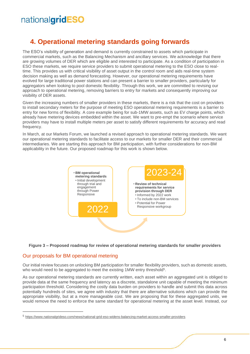### **4. Operational metering standards going forwards**

The ESO's visibility of generation and demand is currently constrained to assets which participate in commercial markets, such as the Balancing Mechanism and ancillary services. We acknowledge that there are growing volumes of DER which are eligible and interested to participate. As a condition of participation in ESO these markets, we require service providers to submit operational metering to the ESO close to realtime. This provides us with critical visibility of asset output in the control room and aids real-time system decision making as well as demand forecasting. However, our operational metering requirements have evolved for large traditional power stations and can present a barrier to smaller providers, particularly for aggregators when looking to pool domestic flexibility. Through this work, we are committed to revising our approach to operational metering, removing barriers to entry for markets and consequently improving our visibility of DER assets.

Given the increasing numbers of smaller providers in these markets, there is a risk that the cost on providers to install secondary meters for the purpose of meeting ESO operational metering requirements is a barrier to entry for new forms of flexibility. A core example being for sub-1MW assets, such as EV charge points, which already have metering devices embedded within the asset. We want to pre-empt the scenario where service providers may have to install multiple meters per asset to satisfy different requirements for accuracy and read frequency.

In March, at our Markets Forum, we launched a revised approach to operational metering standards. We want our operational metering standards to facilitate access to our markets for smaller DER and their commercial intermediaries. We are starting this approach for BM participation, with further considerations for non-BM applicability in the future. Our proposed roadmap for this work is shown below.



#### **Figure 3 – Proposed roadmap for review of operational metering standards for smaller providers**

#### Our proposals for BM operational metering

Our initial review focuses on unlocking BM participation for smaller flexibility providers, such as domestic assets, who would need to be aggregated to meet the existing 1MW entry threshold<sup>5</sup>.

As our operational metering standards are currently written, each asset within an aggregated unit is obliged to provide data at the same frequency and latency as a discrete, standalone unit capable of meeting the minimum participation threshold. Considering the costly data burden on providers to handle and submit this data across potentially hundreds of sites, we agree with industry that there are alternative solutions which can provide the appropriate visibility, but at a more manageable cost. We are proposing that for these aggregated units, we would remove the need to enforce the same standard for operational metering at the asset level. Instead, our

<sup>5</sup> <https://www.nationalgrideso.com/news/national-grid-eso-widens-balancing-market-access-smaller-providers>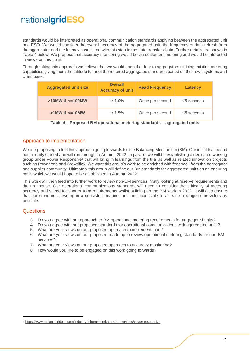standards would be interpreted as operational communication standards applying between the aggregated unit and ESO. We would consider the overall accuracy of the aggregated unit, the frequency of data refresh from the aggregator and the latency associated with this step in the data transfer chain. Further details are shown in Table 4 below. We propose that accuracy monitoring would be via settlement metering and would be interested in views on this point.

Through taking this approach we believe that we would open the door to aggregators utilising existing metering capabilities giving them the latitude to meet the required aggregated standards based on their own systems and client base.

| <b>Aggregated unit size</b> | <b>Overall</b><br><b>Accuracy of unit</b> | <b>Read Frequency</b> | Latency          |
|-----------------------------|-------------------------------------------|-----------------------|------------------|
| $>10$ MW & $=100$ MW        | $+/-1.0\%$                                | Once per second       | $\leq$ 5 seconds |
| $>1$ MW & $\leq 10$ MW      | $+/-1.5%$                                 | Once per second       | $\leq$ 5 seconds |

#### Approach to implementation

We are proposing to trial this approach going forwards for the Balancing Mechanism (BM). Our initial trial period has already started and will run through to Autumn 2022. In parallel we will be establishing a dedicated working group under Power Responsive<sup>6</sup> that will bring in learnings from the trial as well as related innovation projects such as Powerloop and Crowdflex. We want this group's work to be enriched with feedback from the aggregator and supplier community. Ultimately this group will define our BM standards for aggregated units on an enduring basis which we would hope to be established in Autumn 2022.

This work will then feed into further work to review non-BM services, firstly looking at reserve requirements and then response. Our operational communications standards will need to consider the criticality of metering accuracy and speed for shorter term requirements whilst building on the BM work in 2022. It will also ensure that our standards develop in a consistent manner and are accessible to as wide a range of providers as possible.

#### **Questions**

- 3. Do you agree with our approach to BM operational metering requirements for aggregated units?
- 4. Do you agree with our proposed standards for operational communications with aggregated units?
- 5. What are your views on our proposed approach to implementation?
- 6. What are your views on our proposed roadmap to review operational metering standards for non-BM services?
- 7. What are your views on our proposed approach to accuracy monitoring?
- 8. How would you like to be engaged on this work going forwards?

<sup>6</sup> <https://www.nationalgrideso.com/industry-information/balancing-services/power-responsive>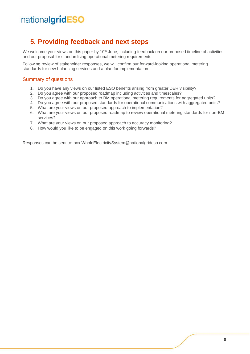### **5. Providing feedback and next steps**

We welcome your views on this paper by 10<sup>th</sup> June, including feedback on our proposed timeline of activities and our proposal for standardising operational metering requirements.

Following review of stakeholder responses, we will confirm our forward-looking operational metering standards for new balancing services and a plan for implementation.

#### Summary of questions

- 1. Do you have any views on our listed ESO benefits arising from greater DER visibility?
- 2. Do you agree with our proposed roadmap including activities and timescales?
- 3. Do you agree with our approach to BM operational metering requirements for aggregated units?
- 4. Do you agree with our proposed standards for operational communications with aggregated units?
- 5. What are your views on our proposed approach to implementation?
- 6. What are your views on our proposed roadmap to review operational metering standards for non-BM services?
- 7. What are your views on our proposed approach to accuracy monitoring?
- 8. How would you like to be engaged on this work going forwards?

Responses can be sent to: [box.WholeElectricitySystem@nationalgrideso.com](mailto:box.WholeElectricitySystem@nationalgrideso.com)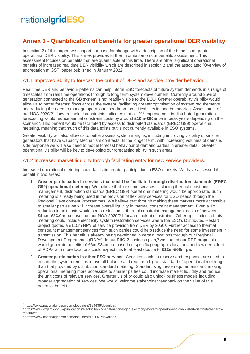### **Annex 1 - Quantification of benefits for greater operational DER visibility**

In section 2 of this paper, we support our case for change with a description of the benefits of greater operational DER visibility. This annex provides further information on our benefits assessment. This assessment focuses on benefits that are quantifiable at this time. There are other significant operational benefits of increased real time DER visibility which are described in section 2 and the associated 'Overview of aggregation at GSP' paper published in January 2022.

#### A1.1 Improved ability to forecast the output of DER and service provider behaviour

Real time DER and behaviour patterns can help inform ESO forecasts of future system demands in a range of timescales from real time operations through to long term system development. Currently around 25% of generation connected to the GB system is not readily visible to the ESO. Greater operability visibility would allow us to better forecast flows across the system, facilitating greater optimisation of system requirements and reducing the need to manage operational headroom on critical circuits and boundaries. Assessment of our NOA 2020/21 forward look at constraints indicates that a 10% improvement in distributed generation forecasting would reduce annual constraint costs by around **£10m-£60m** pa in peak years depending on the scenario<sup>7</sup>. This benefit would be facilitated by access to distributed standards (EREC G99) operational metering, meaning that much of this data exists but is not currently available in ESO systems.

Greater visibility will also allow us to better assess system margins, including improving visibility of smaller generators that have Capacity Mechanism contracts. In the longer term, with increasing volumes of demand side response we will also need to model forecast behaviour of demand parties in greater detail. Greater operational visibility will be key to developing our forecasting ability in such areas.

#### A1.2 Increased market liquidity through facilitating entry for new service providers.

Increased operational metering could facilitate greater participation in ESO markets. We have assessed this benefit in two areas:

- 1. **Greater participation in services that could be facilitated through distribution standards (EREC G99) operational metering**. We believe that for some services, including thermal constraint management, distribution standards (EREC G99) operational metering would be appropriate. Such metering is already being used in the provision of flexibility services for DSO needs through the Regional Development Programmes. We believe that through making these markets more accessible to smaller parties we will increase overall liquidity in thermal constraint management. Even a 1% reduction in unit costs would see a reduction in thermal constraint management costs of between **£4.4m-£23.0m** pa based on our NOA 2020/21 forward look at constraints. Other applications of this metering could include electricity system restoration services where the ESO's Distributed Restart project quoted a £115m NPV of service provision from DER by 2050<sup>8</sup>. Further access to thermal constraint management services from such parties could help reduce the need for some investment in transmission. This benefit is already being developed in certain locations through our Regional Development Programmes (RDPs). In our RIIO-2 business plan,<sup>9</sup> we quoted our RDP proposals would generate benefits of £6m-£34m pa, based on specific geographic locations and a wider rollout of RDPs with more locations could expect this to at least double to **£12m-£68m pa.**
- 2. **Greater participation in other ESO services**. Services, such as reserve and response, are used to ensure the system remains in overall balance and require a higher standard of operational metering than that provided by distribution standard metering. Standardising these requirements and making operational metering more accessible to smaller parties could increase market liquidity and reduce the unit costs of relevant services. Greater visibility could also unlock business models including broader aggregation of services. We would welcome stakeholder feedback on the value of this potential benefit.

<sup>7</sup> <https://www.nationalgrideso.com/document/194436/download>

<sup>8</sup> [https://www.ofgem.gov.uk/publications/electricity-nic-2018-national-grid-electricity-system-operator-eso-black-start-distributed-energy](https://www.ofgem.gov.uk/publications/electricity-nic-2018-national-grid-electricity-system-operator-eso-black-start-distributed-energy-resources)[resources](https://www.ofgem.gov.uk/publications/electricity-nic-2018-national-grid-electricity-system-operator-eso-black-start-distributed-energy-resources)

<https://www.nationalgrideso.com/document/158061/download>